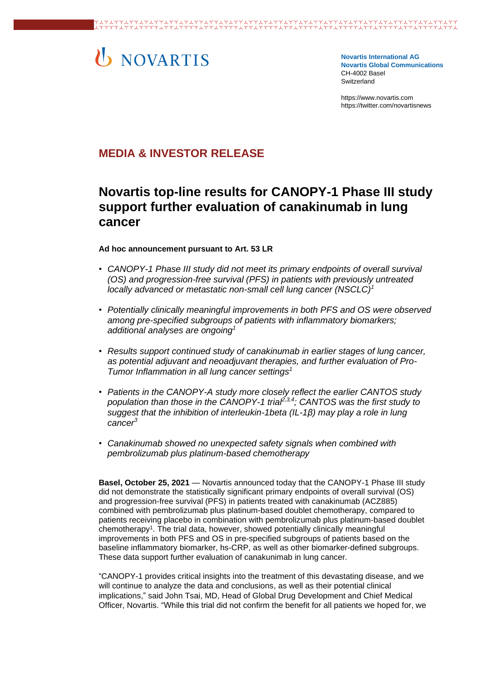# U NOVARTIS

**Novartis International AG Novartis Global Communications**  CH-4002 Basel **Switzerland** 

[https://www.novartis.com](https://www.novartis.com/) https://twitter.com/novartisnews

# **MEDIA & INVESTOR RELEASE**

# **Novartis top-line results for CANOPY-1 Phase III study support further evaluation of canakinumab in lung cancer**

## **Ad hoc announcement pursuant to Art. 53 LR**

- *CANOPY-1 Phase III study did not meet its primary endpoints of overall survival (OS) and progression-free survival (PFS) in patients with previously untreated locally advanced or metastatic non-small cell lung cancer (NSCLC)[1](#page-3-0)*
- *Potentially clinically meaningful improvements in both PFS and OS were observed among pre-specified subgroups of patients with inflammatory biomarkers; additional analyses are ongoin[g](#page-3-0)<sup>1</sup>*
- *Results support continued study of canakinumab in earlier stages of lung cancer, as potential adjuvant and neoadjuvant therapies, and further evaluation of Pro-Tumor Inflammation in all lung cancer settings[1](#page-3-0)*
- *Patients in the CANOPY-A study more closely reflect the earlier CANTOS study population than those in the CANOPY-1 trial[2,](#page-3-1)[3,](#page-3-2)[4](#page-3-3) ; CANTOS was the first study to suggest that the inhibition of interleukin-1beta (IL-1β) may play a role in lung cance[r](#page-3-2)<sup>3</sup>*
- *Canakinumab showed no unexpected safety signals when combined with pembrolizumab plus platinum-based chemotherapy*

**Basel, October 25, 2021** — Novartis announced today that the CANOPY-1 Phase III study did not demonstrate the statistically significant primary endpoints of overall survival (OS) and progression-free survival (PFS) in patients treated with canakinumab (ACZ885) combined with pembrolizumab plus platinum-based doublet chemotherapy, compared to patients receiving placebo in combination with pembrolizumab plus platinum-based doublet chemotherapy<sup>1</sup>. The trial data, however, showed potentially clinically meaningful improvements in both PFS and OS in pre-specified subgroups of patients based on the baseline inflammatory biomarker, hs-CRP, as well as other biomarker-defined subgroups. These data support further evaluation of canakunimab in lung cancer.

"CANOPY-1 provides critical insights into the treatment of this devastating disease, and we will continue to analyze the data and conclusions, as well as their potential clinical implications," said John Tsai, MD, Head of Global Drug Development and Chief Medical Officer, Novartis. "While this trial did not confirm the benefit for all patients we hoped for, we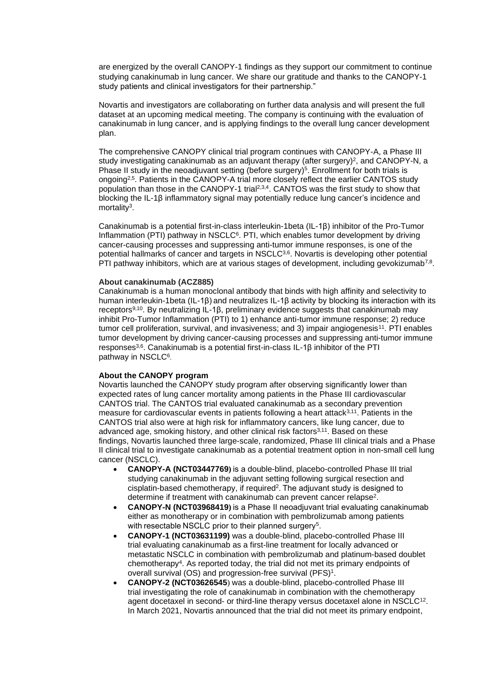are energized by the overall CANOPY-1 findings as they support our commitment to continue studying canakinumab in lung cancer. We share our gratitude and thanks to the CANOPY-1 study patients and clinical investigators for their partnership."

Novartis and investigators are collaborating on further data analysis and will present the full dataset at an upcoming medical meeting. The company is continuing with the evaluation of canakinumab in lung cancer, and is applying findings to the overall lung cancer development plan.

The comprehensive CANOPY clinical trial program continues with CANOPY-A, a Phase III study investigating canakinumab as an adjuvant therapy (after surgery)<sup>2</sup>, and CANOPY-N, a Phase II study in the neoadjuvant setting (before surgery)<sup>[5](#page-3-4)</sup>. Enrollment for both trials is ongoing<sup>[2,5](#page-3-4)</sup>. Patients in the CANOPY-A trial more closely reflect the earlier CANTOS study population than those in the CANOPY-1 trial<sup>[2,](#page-3-1)[3,](#page-3-2)[4](#page-3-3)</sup>. CANTOS was the first study to show that blocking the IL-1β inflammatory signal may potentially reduce lung cancer's incidence and mortality<sup>3</sup>[.](#page-3-2)

Canakinumab is a potential first-in-class interleukin-1beta (IL-1β) inhibitor of the Pro-Tumor Inflammation (PTI) pathway in NS[C](#page-3-5)LC $<sup>6</sup>$ . PTI, which enables tumor development by driving</sup> cancer-causing processes and suppressing anti-tumor immune responses, is one of the potential hallmarks of cancer and targets in NSCLC<sup>[3,6](#page-3-2)</sup>. Novartis is developing other potential PTI pathway inhibitors, which are at various stages of development, including gevokizumab<sup>[7,](#page-3-6)[8](#page-3-7)</sup>.

#### **About canakinumab (ACZ885)**

Canakinumab is a human monoclonal antibody that binds with high affinity and selectivity to human interleukin-1beta (IL-1β) and neutralizes IL-1β activity by blocking its interaction with its receptors<sup>[9,](#page-3-8)[10](#page-3-9)</sup>. By neutralizing IL-1β, preliminary evidence suggests that canakinumab may inhibit Pro-Tumor Inflammation (PTI) to 1) enhance anti-tumor immune response; 2) reduce tumor cell proliferation, survival, and invasiveness; and 3) impair angiogenesis<sup>[11](#page-3-10)</sup>. PTI enables tumor development by driving cancer-causing processes and suppressing anti-tumor immune  $r$ esponses<sup>[3,](#page-3-2)[6](#page-3-5)</sup>. Canakinumab is a potential first-in-class IL-1 $\beta$  inhibitor of the PTI pathway in NSCLC<sup>[6](#page-3-5)</sup>.

## **About the CANOPY program**

Novartis launched the CANOPY study program after observing significantly lower than expected rates of lung cancer mortality among patients in the Phase III cardiovascular CANTOS trial. The CANTOS trial evaluated canakinumab as a secondary prevention measure for cardiovascular events in patients following a heart attack $3.11$  $3.11$ . Patients in the CANTOS trial also were at high risk for inflammatory cancers, like lung cancer, due to advanced age, smoking history, and other clinical risk factors<sup>[3](#page-3-2)[,11](#page-3-10)</sup>. Based on these findings, Novartis launched three large-scale, randomized, Phase III clinical trials and a Phase II clinical trial to investigate canakinumab as a potential treatment option in non-small cell lung cancer (NSCLC).

- **CANOPY-A (NCT03447769)** is a double-blind, placebo-controlled Phase III trial studying canakinumab in the adjuvant setting following surgical resection and cisplatin-based chemotherapy, if required<sup>2</sup>. The adjuvant study is designed to determine if treatment with canakinumab can prevent cancer relapse<sup>2</sup>.
- **CANOPY-N (NCT03968419)** is a Phase II neoadjuvant trial evaluating canakinumab either as monotherapy or in combination with pembrolizumab among patients with resectable NSCLC prior to their planned surgery<sup>[5](#page-3-4)</sup>.
- **CANOPY-1 (NCT03631199)** was a double-blind, placebo-controlled Phase III trial evaluating canakinumab as a first-line treatment for locally advanced or metastatic NSCLC in combination with pembrolizumab and platinum-based doublet chemotherapy[4](#page-3-3) . As reported today, the trial did not met its primary endpoints of overall survival (OS) and progression-free survival (PFS)<sup>1</sup>.
- **CANOPY-2 (NCT03626545**) was a double-blind, placebo-controlled Phase III trial investigating the role of canakinumab in combination with the chemotherapy agent docetaxel in second- or third-line therapy versus docetaxel alone in NSCLC<sup>[12](#page-3-11)</sup>. In March 2021, Novartis announced that the trial did not meet its primary endpoint,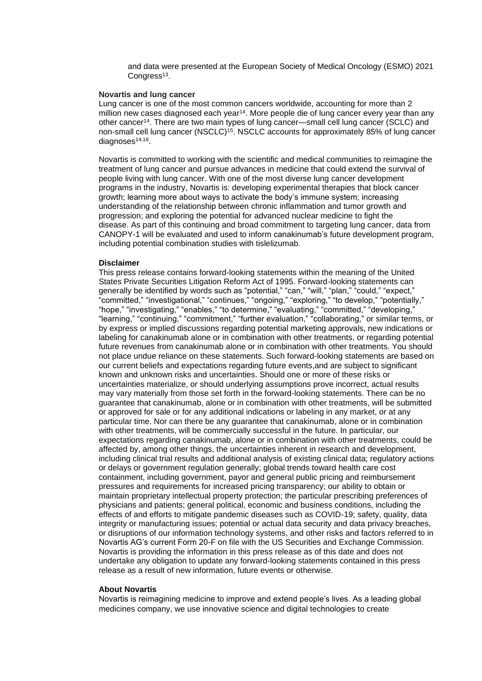and data were presented at the European Society of Medical Oncology (ESMO) 2021 Congress<sup>[13](#page-3-12)</sup>.

#### **Novartis and lung cancer**

Lung cancer is one of the most common cancers worldwide, accounting for more than 2 million new cases diagnosed each year<sup>[14](#page-3-13)</sup>. More people die of lung cancer every year than any other cancer[14](#page-3-13). There are two main types of lung cancer—small cell lung cancer (SCLC) and non-small cell lung cancer (NSCLC)<sup>[15](#page-3-14)</sup>. NSCLC accounts for approximately 85% of lung cancer diagnoses<sup>[14,](#page-3-13)[16](#page-3-15)</sup>.

Novartis is committed to working with the scientific and medical communities to reimagine the treatment of lung cancer and pursue advances in medicine that could extend the survival of people living with lung cancer. With one of the most diverse lung cancer development programs in the industry, Novartis is: developing experimental therapies that block cancer growth; learning more about ways to activate the body's immune system; increasing understanding of the relationship between chronic inflammation and tumor growth and progression; and exploring the potential for advanced nuclear medicine to fight the disease. As part of this continuing and broad commitment to targeting lung cancer, data from CANOPY-1 will be evaluated and used to inform canakinumab's future development program, including potential combination studies with tislelizumab.

#### **Disclaimer**

This press release contains forward-looking statements within the meaning of the United States Private Securities Litigation Reform Act of 1995. Forward-looking statements can generally be identified by words such as "potential," "can," "will," "plan," "could," "expect," "committed," "investigational," "continues," "ongoing," "exploring," "to develop," "potentially," "hope," "investigating," "enables," "to determine," "evaluating," "committed," "developing," "learning," "continuing," "commitment," "further evaluation," "collaborating," or similar terms, or by express or implied discussions regarding potential marketing approvals, new indications or labeling for canakinumab alone or in combination with other treatments, or regarding potential future revenues from canakinumab alone or in combination with other treatments. You should not place undue reliance on these statements. Such forward-looking statements are based on our current beliefs and expectations regarding future events,and are subject to significant known and unknown risks and uncertainties. Should one or more of these risks or uncertainties materialize, or should underlying assumptions prove incorrect, actual results may vary materially from those set forth in the forward-looking statements. There can be no guarantee that canakinumab, alone or in combination with other treatments, will be submitted or approved for sale or for any additional indications or labeling in any market, or at any particular time. Nor can there be any guarantee that canakinumab, alone or in combination with other treatments, will be commercially successful in the future. In particular, our expectations regarding canakinumab, alone or in combination with other treatments, could be affected by, among other things, the uncertainties inherent in research and development, including clinical trial results and additional analysis of existing clinical data; regulatory actions or delays or government regulation generally; global trends toward health care cost containment, including government, payor and general public pricing and reimbursement pressures and requirements for increased pricing transparency; our ability to obtain or maintain proprietary intellectual property protection; the particular prescribing preferences of physicians and patients; general political, economic and business conditions, including the effects of and efforts to mitigate pandemic diseases such as COVID-19; safety, quality, data integrity or manufacturing issues; potential or actual data security and data privacy breaches, or disruptions of our information technology systems, and other risks and factors referred to in Novartis AG's current Form 20-F on file with the US Securities and Exchange Commission. Novartis is providing the information in this press release as of this date and does not undertake any obligation to update any forward-looking statements contained in this press release as a result of new information, future events or otherwise.

#### **About Novartis**

Novartis is reimagining medicine to improve and extend people's lives. As a leading global medicines company, we use innovative science and digital technologies to create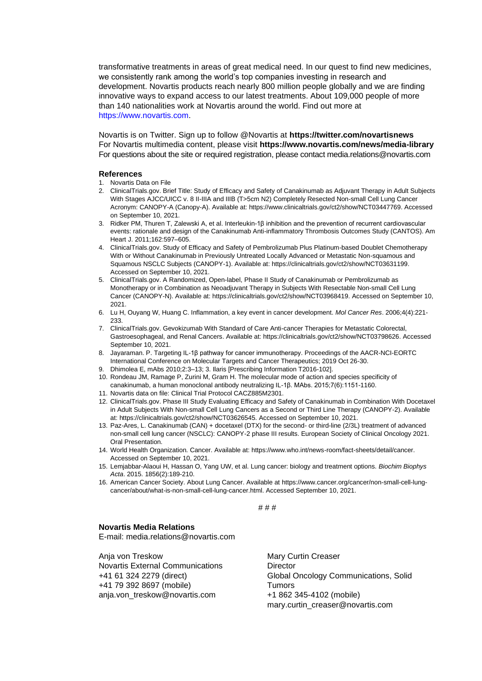transformative treatments in areas of great medical need. In our quest to find new medicines, we consistently rank among the world's top companies investing in research and development. Novartis products reach nearly 800 million people globally and we are finding innovative ways to expand access to our latest treatments. About 109,000 people of more than 140 nationalities work at Novartis around the world. Find out more at https://www.novartis.com.

Novartis is on Twitter. Sign up to follow @Novartis at **<https://twitter.com/novartisnews>** For Novartis multimedia content, please visit **https:/[/www.novartis.com/news/media-library](http://www.novartis.com/news/media-library)** For questions about the site or required registration, please contact [media.relations@novartis.com](mailto:media.relations@novartis.com)

#### **References**

- <span id="page-3-0"></span>1. Novartis Data on File
- <span id="page-3-1"></span>2. ClinicalTrials.gov. Brief Title: Study of Efficacy and Safety of Canakinumab as Adjuvant Therapy in Adult Subjects With Stages AJCC/UICC v. 8 II-IIIA and IIIB (T>5cm N2) Completely Resected Non-small Cell Lung Cancer Acronym: CANOPY-A (Canopy-A). Available at: https://www.clinicaltrials.gov/ct2/show/NCT03447769. Accessed on September 10, 2021.
- <span id="page-3-2"></span>3. Ridker PM, Thuren T, Zalewski A, et al. Interleukin-1β inhibition and the prevention of recurrent cardiovascular events: rationale and design of the Canakinumab Anti-inflammatory Thrombosis Outcomes Study (CANTOS). Am Heart J. 2011;162:597–605.
- <span id="page-3-3"></span>4. ClinicalTrials.gov. Study of Efficacy and Safety of Pembrolizumab Plus Platinum-based Doublet Chemotherapy With or Without Canakinumab in Previously Untreated Locally Advanced or Metastatic Non-squamous and Squamous NSCLC Subjects (CANOPY-1). Available at[: https://clinicaltrials.gov/ct2/show/NCT03631199.](https://clinicaltrials.gov/ct2/show/NCT03631199)  Accessed on September 10, 2021.
- <span id="page-3-4"></span>5. ClinicalTrials.gov. A Randomized, Open-label, Phase II Study of Canakinumab or Pembrolizumab as Monotherapy or in Combination as Neoadjuvant Therapy in Subjects With Resectable Non-small Cell Lung Cancer (CANOPY-N). Available at[: https://clinicaltrials.gov/ct2/show/NCT03968419.](https://clinicaltrials.gov/ct2/show/NCT03968419) Accessed on September 10, 2021.
- <span id="page-3-5"></span>6. Lu H, Ouyang W, Huang C. Inflammation, a key event in cancer development. *Mol Cancer Res*. 2006;4(4):221- 233.
- <span id="page-3-6"></span>7. ClinicalTrials.gov. Gevokizumab With Standard of Care Anti-cancer Therapies for Metastatic Colorectal, Gastroesophageal, and Renal Cancers. Available at: [https://clinicaltrials.gov/ct2/show/NCT03798626.](https://clinicaltrials.gov/ct2/show/NCT03798626) Accessed September 10, 2021.
- <span id="page-3-7"></span>8. Jayaraman. P. Targeting IL-1β pathway for cancer immunotherapy. Proceedings of the AACR-NCI-EORTC International Conference on Molecular Targets and Cancer Therapeutics; 2019 Oct 26-30.
- <span id="page-3-8"></span>9. Dhimolea E, mAbs 2010;2:3–13; 3. Ilaris [Prescribing Information T2016-102].
- <span id="page-3-9"></span>10. Rondeau JM, Ramage P, Zurini M, Gram H. The molecular mode of action and species specificity of canakinumab, a human monoclonal antibody neutralizing IL-1β. MAbs. 2015;7(6):1151-1160.
- <span id="page-3-10"></span>11. Novartis data on file: Clinical Trial Protocol CACZ885M2301.
- <span id="page-3-11"></span>12. ClinicalTrials.gov. Phase III Study Evaluating Efficacy and Safety of Canakinumab in Combination With Docetaxel in Adult Subjects With Non-small Cell Lung Cancers as a Second or Third Line Therapy (CANOPY-2). Available at: https://clinicaltrials.gov/ct2/show/NCT03626545. Accessed on September 10, 2021.
- <span id="page-3-12"></span>13. Paz-Ares, L. Canakinumab (CAN) + docetaxel (DTX) for the second- or third-line (2/3L) treatment of advanced non-small cell lung cancer (NSCLC): CANOPY-2 phase III results. European Society of Clinical Oncology 2021. Oral Presentation.
- <span id="page-3-13"></span>14. World Health Organization. Cancer. Available at: https://www.who.int/news-room/fact-sheets/detail/cancer. Accessed on September 10, 2021.
- <span id="page-3-14"></span>15. Lemjabbar-Alaoui H, Hassan O, Yang UW, et al. Lung cancer: biology and treatment options. *Biochim Biophys Acta*. 2015. 1856(2):189-210.
- <span id="page-3-15"></span>16. American Cancer Society. About Lung Cancer. Available at [https://www.cancer.org/cancer/non-small-cell-lung](https://www.cancer.org/cancer/non-small-cell-lung-cancer/about/what-is-non-small-cell-lung-cancer.html.%20Accessed%20September%2010)[cancer/about/what-is-non-small-cell-lung-cancer.html. Accessed September 10,](https://www.cancer.org/cancer/non-small-cell-lung-cancer/about/what-is-non-small-cell-lung-cancer.html.%20Accessed%20September%2010) 2021.

# # #

#### **Novartis Media Relations**

E-mail: [media.relations@novartis.com](mailto:media.relations@novartis.com)

Anja von Treskow Novartis External Communications +41 61 324 2279 (direct) +41 79 392 8697 (mobile) [anja.von\\_treskow@novartis.com](mailto:anja.von_treskow@novartis.com)

Mary Curtin Creaser **Director** Global Oncology Communications, Solid **Tumors** +1 862 345-4102 (mobile) [mary.curtin\\_creaser@novartis.com](mailto:mary.curtin_creaser@novartis.com)